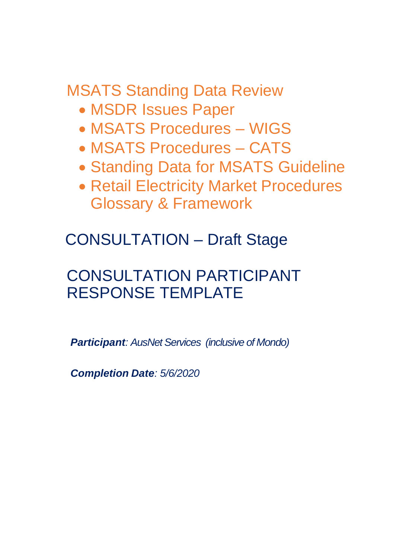MSATS Standing Data Review

- MSDR Issues Paper
- MSATS Procedures WIGS
- MSATS Procedures CATS
- Standing Data for MSATS Guideline
- Retail Electricity Market Procedures Glossary & Framework

CONSULTATION – Draft Stage

# CONSULTATION PARTICIPANT RESPONSE TEMPLATE

*Participant: AusNet Services (inclusive of Mondo)*

*Completion Date: 5/6/2020*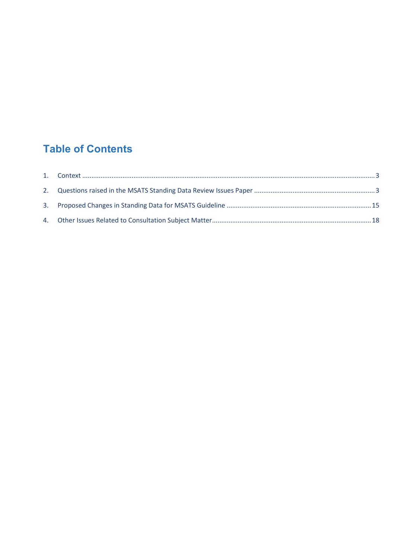# **Table of Contents**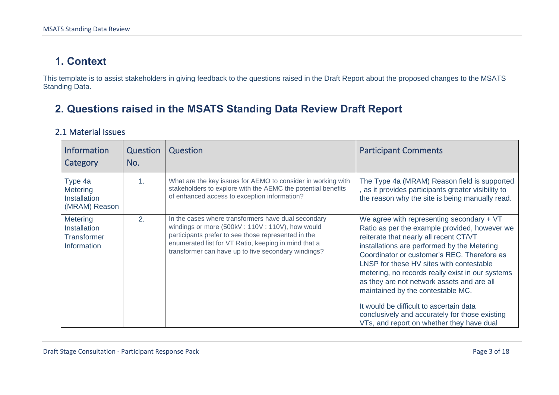## **1. Context**

This template is to assist stakeholders in giving feedback to the questions raised in the Draft Report about the proposed changes to the MSATS Standing Data.

## **2. Questions raised in the MSATS Standing Data Review Draft Report**

#### 2.1 Material Issues

<span id="page-2-1"></span><span id="page-2-0"></span>

| <b>Information</b><br>Category                                              | <b>Question</b><br>No. | Question                                                                                                                                                                                                                                                                     | <b>Participant Comments</b>                                                                                                                                                                                                                                                                                                                                                                                                                                                                                                                                       |
|-----------------------------------------------------------------------------|------------------------|------------------------------------------------------------------------------------------------------------------------------------------------------------------------------------------------------------------------------------------------------------------------------|-------------------------------------------------------------------------------------------------------------------------------------------------------------------------------------------------------------------------------------------------------------------------------------------------------------------------------------------------------------------------------------------------------------------------------------------------------------------------------------------------------------------------------------------------------------------|
| Type 4a<br>Metering<br><b>Installation</b><br>(MRAM) Reason                 | 1.                     | What are the key issues for AEMO to consider in working with<br>stakeholders to explore with the AEMC the potential benefits<br>of enhanced access to exception information?                                                                                                 | The Type 4a (MRAM) Reason field is supported<br>as it provides participants greater visibility to<br>the reason why the site is being manually read.                                                                                                                                                                                                                                                                                                                                                                                                              |
| <b>Metering</b><br><b>Installation</b><br><b>Transformer</b><br>Information | 2.                     | In the cases where transformers have dual secondary<br>windings or more (500kV: 110V: 110V), how would<br>participants prefer to see those represented in the<br>enumerated list for VT Ratio, keeping in mind that a<br>transformer can have up to five secondary windings? | We agree with representing secondary $+ VT$<br>Ratio as per the example provided, however we<br>reiterate that nearly all recent CT/VT<br>installations are performed by the Metering<br>Coordinator or customer's REC. Therefore as<br>LNSP for these HV sites with contestable<br>metering, no records really exist in our systems<br>as they are not network assets and are all<br>maintained by the contestable MC.<br>It would be difficult to ascertain data<br>conclusively and accurately for those existing<br>VTs, and report on whether they have dual |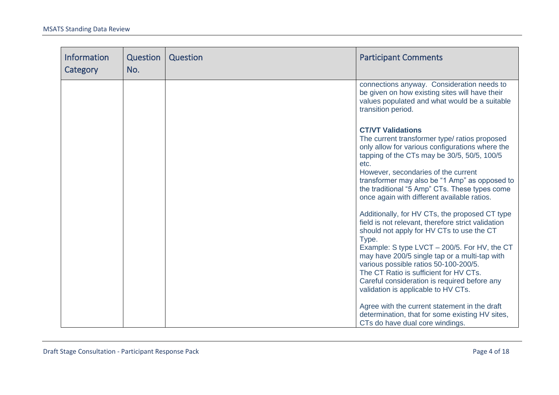| <b>Information</b><br>Category | Question<br>No. | Question | <b>Participant Comments</b>                                                                                                                                                                                                                                                                                                                                                                                                           |
|--------------------------------|-----------------|----------|---------------------------------------------------------------------------------------------------------------------------------------------------------------------------------------------------------------------------------------------------------------------------------------------------------------------------------------------------------------------------------------------------------------------------------------|
|                                |                 |          | connections anyway. Consideration needs to<br>be given on how existing sites will have their<br>values populated and what would be a suitable<br>transition period.                                                                                                                                                                                                                                                                   |
|                                |                 |          | <b>CT/VT Validations</b><br>The current transformer type/ ratios proposed<br>only allow for various configurations where the<br>tapping of the CTs may be 30/5, 50/5, 100/5<br>etc.<br>However, secondaries of the current<br>transformer may also be "1 Amp" as opposed to<br>the traditional "5 Amp" CTs. These types come<br>once again with different available ratios.                                                           |
|                                |                 |          | Additionally, for HV CTs, the proposed CT type<br>field is not relevant, therefore strict validation<br>should not apply for HV CTs to use the CT<br>Type.<br>Example: S type LVCT - 200/5. For HV, the CT<br>may have 200/5 single tap or a multi-tap with<br>various possible ratios 50-100-200/5.<br>The CT Ratio is sufficient for HV CTs.<br>Careful consideration is required before any<br>validation is applicable to HV CTs. |
|                                |                 |          | Agree with the current statement in the draft<br>determination, that for some existing HV sites,<br>CTs do have dual core windings.                                                                                                                                                                                                                                                                                                   |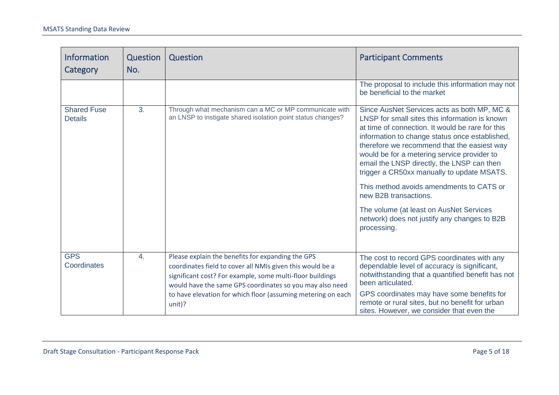| <b>Information</b><br>Category       | <b>Question</b><br>No. | Question                                                                                                                                                                                                                                                                                                          | <b>Participant Comments</b>                                                                                                                                                                                                                                                                                                                                                                                                                                        |
|--------------------------------------|------------------------|-------------------------------------------------------------------------------------------------------------------------------------------------------------------------------------------------------------------------------------------------------------------------------------------------------------------|--------------------------------------------------------------------------------------------------------------------------------------------------------------------------------------------------------------------------------------------------------------------------------------------------------------------------------------------------------------------------------------------------------------------------------------------------------------------|
|                                      |                        |                                                                                                                                                                                                                                                                                                                   | The proposal to include this information may not<br>be beneficial to the market                                                                                                                                                                                                                                                                                                                                                                                    |
| <b>Shared Fuse</b><br><b>Details</b> | 3.                     | Through what mechanism can a MC or MP communicate with<br>an LNSP to instigate shared isolation point status changes?                                                                                                                                                                                             | Since AusNet Services acts as both MP, MC &<br>LNSP for small sites this information is known<br>at time of connection. It would be rare for this<br>information to change status once established,<br>therefore we recommend that the easiest way<br>would be for a metering service provider to<br>email the LNSP directly, the LNSP can then<br>trigger a CR50xx manually to update MSATS.<br>This method avoids amendments to CATS or<br>new B2B transactions. |
|                                      |                        |                                                                                                                                                                                                                                                                                                                   | The volume (at least on AusNet Services<br>network) does not justify any changes to B2B<br>processing.                                                                                                                                                                                                                                                                                                                                                             |
| <b>GPS</b><br>Coordinates            | $\overline{4}$ .       | Please explain the benefits for expanding the GPS<br>coordinates field to cover all NMIs given this would be a<br>significant cost? For example, some multi-floor buildings<br>would have the same GPS coordinates so you may also need<br>to have elevation for which floor (assuming metering on each<br>unit)? | The cost to record GPS coordinates with any<br>dependable level of accuracy is significant,<br>notwithstanding that a quantified benefit has not<br>been articulated.<br>GPS coordinates may have some benefits for<br>remote or rural sites, but no benefit for urban<br>sites. However, we consider that even the                                                                                                                                                |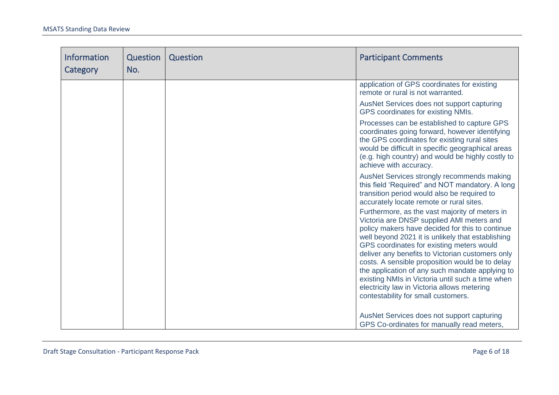| <b>Information</b><br>Category | Question<br>No. | Question | <b>Participant Comments</b>                                                                                                                                                                                                                                                                                                                                                                                                                                                                                                                          |
|--------------------------------|-----------------|----------|------------------------------------------------------------------------------------------------------------------------------------------------------------------------------------------------------------------------------------------------------------------------------------------------------------------------------------------------------------------------------------------------------------------------------------------------------------------------------------------------------------------------------------------------------|
|                                |                 |          | application of GPS coordinates for existing<br>remote or rural is not warranted.                                                                                                                                                                                                                                                                                                                                                                                                                                                                     |
|                                |                 |          | AusNet Services does not support capturing<br>GPS coordinates for existing NMIs.                                                                                                                                                                                                                                                                                                                                                                                                                                                                     |
|                                |                 |          | Processes can be established to capture GPS<br>coordinates going forward, however identifying<br>the GPS coordinates for existing rural sites<br>would be difficult in specific geographical areas<br>(e.g. high country) and would be highly costly to<br>achieve with accuracy.                                                                                                                                                                                                                                                                    |
|                                |                 |          | AusNet Services strongly recommends making<br>this field 'Required" and NOT mandatory. A long<br>transition period would also be required to<br>accurately locate remote or rural sites.                                                                                                                                                                                                                                                                                                                                                             |
|                                |                 |          | Furthermore, as the vast majority of meters in<br>Victoria are DNSP supplied AMI meters and<br>policy makers have decided for this to continue<br>well beyond 2021 it is unlikely that establishing<br>GPS coordinates for existing meters would<br>deliver any benefits to Victorian customers only<br>costs. A sensible proposition would be to delay<br>the application of any such mandate applying to<br>existing NMIs in Victoria until such a time when<br>electricity law in Victoria allows metering<br>contestability for small customers. |
|                                |                 |          | AusNet Services does not support capturing<br>GPS Co-ordinates for manually read meters,                                                                                                                                                                                                                                                                                                                                                                                                                                                             |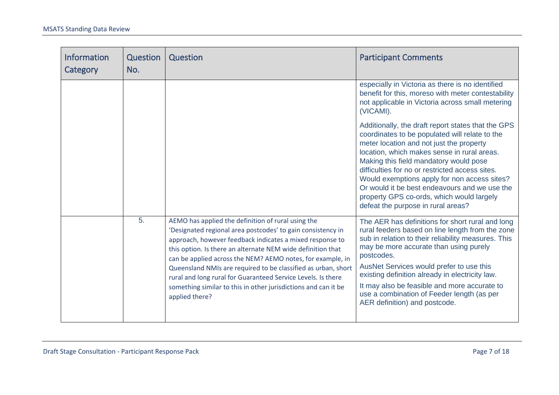| <b>Information</b><br>Category | Question<br>No. | Question                                                                                                                                                                                                                                                                                                                                                                                                                                                                                                                        | <b>Participant Comments</b>                                                                                                                                                                                                                                                                                                                                                                                                                                                      |
|--------------------------------|-----------------|---------------------------------------------------------------------------------------------------------------------------------------------------------------------------------------------------------------------------------------------------------------------------------------------------------------------------------------------------------------------------------------------------------------------------------------------------------------------------------------------------------------------------------|----------------------------------------------------------------------------------------------------------------------------------------------------------------------------------------------------------------------------------------------------------------------------------------------------------------------------------------------------------------------------------------------------------------------------------------------------------------------------------|
|                                |                 |                                                                                                                                                                                                                                                                                                                                                                                                                                                                                                                                 | especially in Victoria as there is no identified<br>benefit for this, moreso with meter contestability<br>not applicable in Victoria across small metering<br>(VICAMI).                                                                                                                                                                                                                                                                                                          |
|                                |                 |                                                                                                                                                                                                                                                                                                                                                                                                                                                                                                                                 | Additionally, the draft report states that the GPS<br>coordinates to be populated will relate to the<br>meter location and not just the property<br>location, which makes sense in rural areas.<br>Making this field mandatory would pose<br>difficulties for no or restricted access sites.<br>Would exemptions apply for non access sites?<br>Or would it be best endeavours and we use the<br>property GPS co-ords, which would largely<br>defeat the purpose in rural areas? |
|                                | 5.              | AEMO has applied the definition of rural using the<br>'Designated regional area postcodes' to gain consistency in<br>approach, however feedback indicates a mixed response to<br>this option. Is there an alternate NEM wide definition that<br>can be applied across the NEM? AEMO notes, for example, in<br>Queensland NMIs are required to be classified as urban, short<br>rural and long rural for Guaranteed Service Levels. Is there<br>something similar to this in other jurisdictions and can it be<br>applied there? | The AER has definitions for short rural and long<br>rural feeders based on line length from the zone<br>sub in relation to their reliability measures. This<br>may be more accurate than using purely<br>postcodes.<br>AusNet Services would prefer to use this<br>existing definition already in electricity law.<br>It may also be feasible and more accurate to<br>use a combination of Feeder length (as per<br>AER definition) and postcode.                                |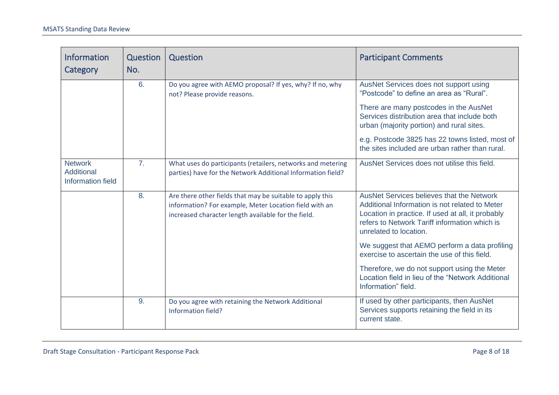| <b>Information</b><br>Category                    | Question<br>No. | Question                                                                                                                                                                   | <b>Participant Comments</b>                                                                                                                                                                                                                                                                                                         |
|---------------------------------------------------|-----------------|----------------------------------------------------------------------------------------------------------------------------------------------------------------------------|-------------------------------------------------------------------------------------------------------------------------------------------------------------------------------------------------------------------------------------------------------------------------------------------------------------------------------------|
|                                                   | 6.              | Do you agree with AEMO proposal? If yes, why? If no, why<br>not? Please provide reasons.                                                                                   | AusNet Services does not support using<br>"Postcode" to define an area as "Rural".<br>There are many postcodes in the AusNet<br>Services distribution area that include both<br>urban (majority portion) and rural sites.<br>e.g. Postcode 3825 has 22 towns listed, most of<br>the sites included are urban rather than rural.     |
| <b>Network</b><br>Additional<br>Information field | 7 <sub>1</sub>  | What uses do participants (retailers, networks and metering<br>parties) have for the Network Additional Information field?                                                 | AusNet Services does not utilise this field.                                                                                                                                                                                                                                                                                        |
|                                                   | 8.              | Are there other fields that may be suitable to apply this<br>information? For example, Meter Location field with an<br>increased character length available for the field. | <b>AusNet Services believes that the Network</b><br>Additional Information is not related to Meter<br>Location in practice. If used at all, it probably<br>refers to Network Tariff information which is<br>unrelated to location.<br>We suggest that AEMO perform a data profiling<br>exercise to ascertain the use of this field. |
|                                                   |                 |                                                                                                                                                                            | Therefore, we do not support using the Meter<br>Location field in lieu of the "Network Additional<br>Information" field.                                                                                                                                                                                                            |
|                                                   | 9.              | Do you agree with retaining the Network Additional<br>Information field?                                                                                                   | If used by other participants, then AusNet<br>Services supports retaining the field in its<br>current state.                                                                                                                                                                                                                        |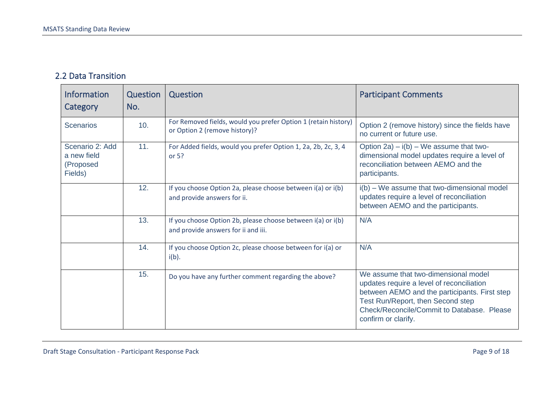#### 2.2 Data Transition

| <b>Information</b><br>Category                         | <b>Question</b><br>No. | Question                                                                                           | <b>Participant Comments</b>                                                                                                                                                                                                                  |
|--------------------------------------------------------|------------------------|----------------------------------------------------------------------------------------------------|----------------------------------------------------------------------------------------------------------------------------------------------------------------------------------------------------------------------------------------------|
| <b>Scenarios</b>                                       | 10.                    | For Removed fields, would you prefer Option 1 (retain history)<br>or Option 2 (remove history)?    | Option 2 (remove history) since the fields have<br>no current or future use.                                                                                                                                                                 |
| Scenario 2: Add<br>a new field<br>(Proposed<br>Fields) | 11.                    | For Added fields, would you prefer Option 1, 2a, 2b, 2c, 3, 4<br>or $5?$                           | Option 2a) $- i(b) - We$ assume that two-<br>dimensional model updates require a level of<br>reconciliation between AEMO and the<br>participants.                                                                                            |
|                                                        | 12.                    | If you choose Option 2a, please choose between i(a) or i(b)<br>and provide answers for ii.         | i(b) – We assume that two-dimensional model<br>updates require a level of reconciliation<br>between AEMO and the participants.                                                                                                               |
|                                                        | 13.                    | If you choose Option 2b, please choose between i(a) or i(b)<br>and provide answers for ii and iii. | N/A                                                                                                                                                                                                                                          |
|                                                        | 14.                    | If you choose Option 2c, please choose between for i(a) or<br>$i(b)$ .                             | N/A                                                                                                                                                                                                                                          |
|                                                        | 15.                    | Do you have any further comment regarding the above?                                               | We assume that two-dimensional model<br>updates require a level of reconciliation<br>between AEMO and the participants. First step<br>Test Run/Report, then Second step<br>Check/Reconcile/Commit to Database. Please<br>confirm or clarify. |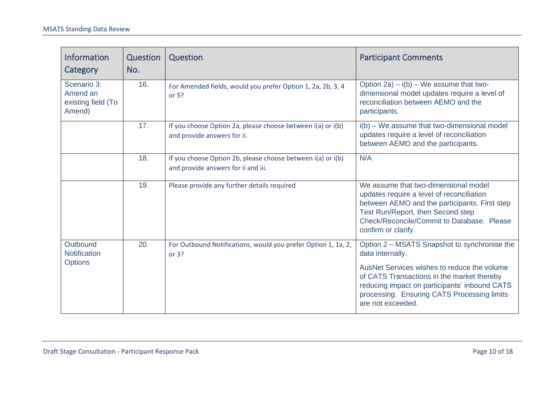| <b>Information</b><br>Category                          | Question<br>No. | Question                                                                                           | <b>Participant Comments</b>                                                                                                                                                                                                                                                        |
|---------------------------------------------------------|-----------------|----------------------------------------------------------------------------------------------------|------------------------------------------------------------------------------------------------------------------------------------------------------------------------------------------------------------------------------------------------------------------------------------|
| Scenario 3:<br>Amend an<br>existing field (To<br>Amend) | 16.             | For Amended fields, would you prefer Option 1, 2a, 2b, 3, 4<br>or $5?$                             | Option 2a) $- i(b) - We$ assume that two-<br>dimensional model updates require a level of<br>reconciliation between AEMO and the<br>participants.                                                                                                                                  |
|                                                         | 17.             | If you choose Option 2a, please choose between i(a) or i(b)<br>and provide answers for ii.         | i(b) - We assume that two-dimensional model<br>updates require a level of reconciliation<br>between AEMO and the participants.                                                                                                                                                     |
|                                                         | 18.             | If you choose Option 2b, please choose between i(a) or i(b)<br>and provide answers for ii and iii. | N/A                                                                                                                                                                                                                                                                                |
|                                                         | 19.             | Please provide any further details required                                                        | We assume that two-dimensional model<br>updates require a level of reconciliation<br>between AEMO and the participants. First step<br>Test Run/Report, then Second step<br>Check/Reconcile/Commit to Database. Please<br>confirm or clarify.                                       |
| Outbound<br>Notification<br><b>Options</b>              | 20.             | For Outbound Notifications, would you prefer Option 1, 1a, 2,<br>or $3?$                           | Option 2 – MSATS Snapshot to synchronise the<br>data internally.<br>AusNet Services wishes to reduce the volume<br>of CATS Transactions in the market thereby<br>reducing impact on participants' inbound CATS<br>processing. Ensuring CATS Processing limits<br>are not exceeded. |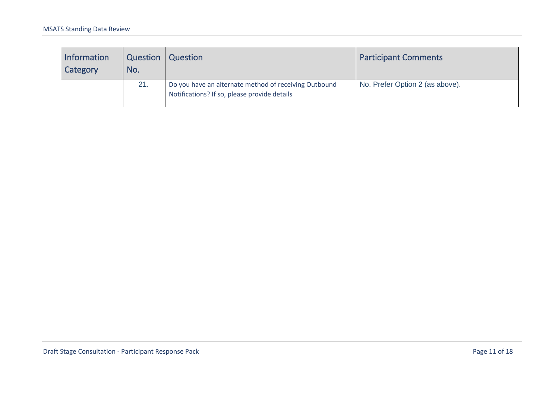| <b>Information</b><br>Category | Question<br>No. | Question                                                                                              | <b>Participant Comments</b>     |
|--------------------------------|-----------------|-------------------------------------------------------------------------------------------------------|---------------------------------|
|                                | 21.             | Do you have an alternate method of receiving Outbound<br>Notifications? If so, please provide details | No. Prefer Option 2 (as above). |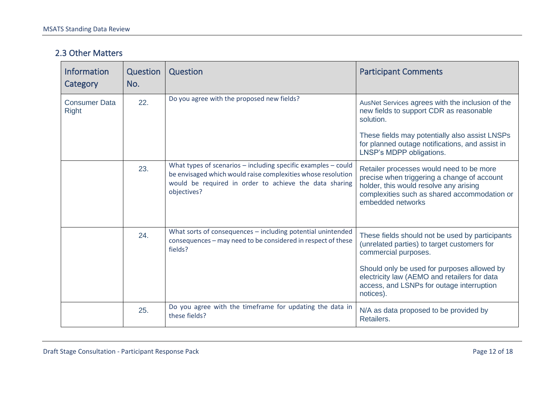#### 2.3 Other Matters

| Information<br>Category              | <b>Question</b><br>No. | Question                                                                                                                                                                                                   | <b>Participant Comments</b>                                                                                                                                                                            |
|--------------------------------------|------------------------|------------------------------------------------------------------------------------------------------------------------------------------------------------------------------------------------------------|--------------------------------------------------------------------------------------------------------------------------------------------------------------------------------------------------------|
| <b>Consumer Data</b><br><b>Right</b> | 22.                    | Do you agree with the proposed new fields?                                                                                                                                                                 | AusNet Services agrees with the inclusion of the<br>new fields to support CDR as reasonable<br>solution.                                                                                               |
|                                      |                        |                                                                                                                                                                                                            | These fields may potentially also assist LNSPs<br>for planned outage notifications, and assist in<br>LNSP's MDPP obligations.                                                                          |
|                                      | 23.                    | What types of scenarios $-$ including specific examples $-$ could<br>be envisaged which would raise complexities whose resolution<br>would be required in order to achieve the data sharing<br>objectives? | Retailer processes would need to be more<br>precise when triggering a change of account<br>holder, this would resolve any arising<br>complexities such as shared accommodation or<br>embedded networks |
|                                      | 24.                    | What sorts of consequences - including potential unintended<br>consequences - may need to be considered in respect of these<br>fields?                                                                     | These fields should not be used by participants<br>(unrelated parties) to target customers for<br>commercial purposes.<br>Should only be used for purposes allowed by                                  |
|                                      |                        |                                                                                                                                                                                                            | electricity law (AEMO and retailers for data<br>access, and LSNPs for outage interruption<br>notices).                                                                                                 |
|                                      | 25.                    | Do you agree with the timeframe for updating the data in<br>these fields?                                                                                                                                  | N/A as data proposed to be provided by<br>Retailers.                                                                                                                                                   |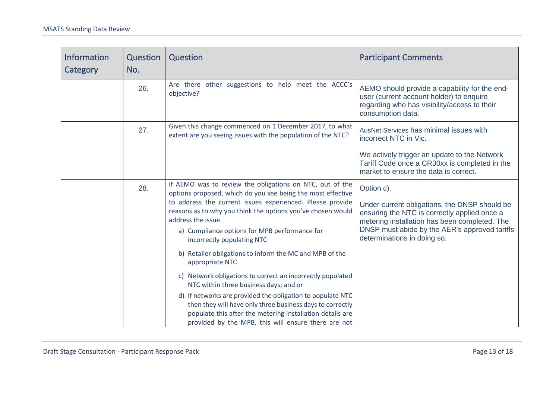| <b>Information</b><br>Category | <b>Question</b><br>No. | Question                                                                                                                                                                                                                                                                                                                                                                                                                                                                                             | <b>Participant Comments</b>                                                                                                                                                                                                                  |
|--------------------------------|------------------------|------------------------------------------------------------------------------------------------------------------------------------------------------------------------------------------------------------------------------------------------------------------------------------------------------------------------------------------------------------------------------------------------------------------------------------------------------------------------------------------------------|----------------------------------------------------------------------------------------------------------------------------------------------------------------------------------------------------------------------------------------------|
|                                | 26.                    | Are there other suggestions to help meet the ACCC's<br>objective?                                                                                                                                                                                                                                                                                                                                                                                                                                    | AEMO should provide a capability for the end-<br>user (current account holder) to enquire<br>regarding who has visibility/access to their<br>consumption data.                                                                               |
|                                | 27.                    | Given this change commenced on 1 December 2017, to what<br>extent are you seeing issues with the population of the NTC?                                                                                                                                                                                                                                                                                                                                                                              | AusNet Services has minimal issues with<br>incorrect NTC in Vic.<br>We actively trigger an update to the Network<br>Tariff Code once a CR30xx is completed in the<br>market to ensure the data is correct.                                   |
|                                | 28.                    | If AEMO was to review the obligations on NTC, out of the<br>options proposed, which do you see being the most effective<br>to address the current issues experienced. Please provide<br>reasons as to why you think the options you've chosen would<br>address the issue.<br>a) Compliance options for MPB performance for<br>incorrectly populating NTC<br>b) Retailer obligations to inform the MC and MPB of the<br>appropriate NTC<br>c) Network obligations to correct an incorrectly populated | Option c).<br>Under current obligations, the DNSP should be<br>ensuring the NTC is correctly applied once a<br>metering installation has been completed. The<br>DNSP must abide by the AER's approved tariffs<br>determinations in doing so. |
|                                |                        | NTC within three business days; and or<br>d) If networks are provided the obligation to populate NTC<br>then they will have only three business days to correctly<br>populate this after the metering installation details are<br>provided by the MPB, this will ensure there are not                                                                                                                                                                                                                |                                                                                                                                                                                                                                              |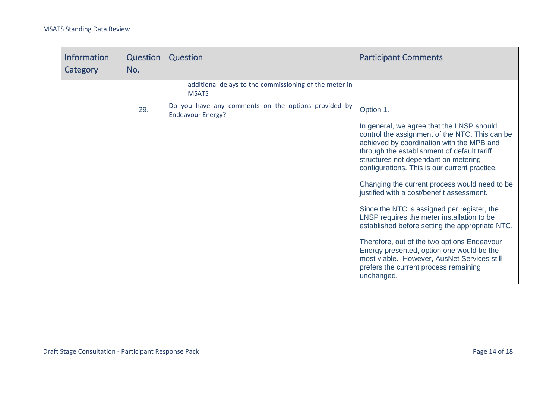<span id="page-13-0"></span>

| <b>Information</b><br>Category | Question<br>No. | Question                                                                        | <b>Participant Comments</b>                                                                                                                                                                                                                                                      |
|--------------------------------|-----------------|---------------------------------------------------------------------------------|----------------------------------------------------------------------------------------------------------------------------------------------------------------------------------------------------------------------------------------------------------------------------------|
|                                |                 | additional delays to the commissioning of the meter in<br><b>MSATS</b>          |                                                                                                                                                                                                                                                                                  |
|                                | 29.             | Do you have any comments on the options provided by<br><b>Endeavour Energy?</b> | Option 1.                                                                                                                                                                                                                                                                        |
|                                |                 |                                                                                 | In general, we agree that the LNSP should<br>control the assignment of the NTC. This can be<br>achieved by coordination with the MPB and<br>through the establishment of default tariff<br>structures not dependant on metering<br>configurations. This is our current practice. |
|                                |                 |                                                                                 | Changing the current process would need to be<br>justified with a cost/benefit assessment.                                                                                                                                                                                       |
|                                |                 |                                                                                 | Since the NTC is assigned per register, the<br>LNSP requires the meter installation to be<br>established before setting the appropriate NTC.                                                                                                                                     |
|                                |                 |                                                                                 | Therefore, out of the two options Endeavour<br>Energy presented, option one would be the<br>most viable. However, AusNet Services still<br>prefers the current process remaining<br>unchanged.                                                                                   |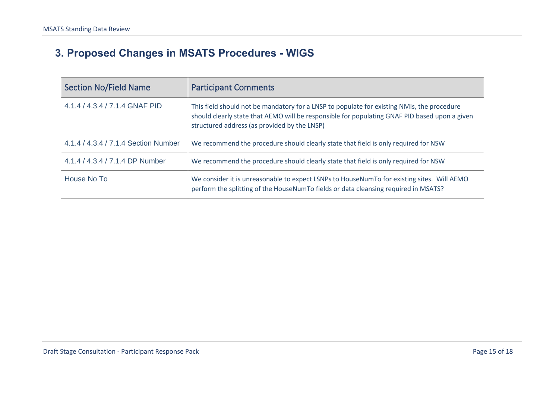# **3. Proposed Changes in MSATS Procedures - WIGS**

| <b>Section No/Field Name</b>         | <b>Participant Comments</b>                                                                                                                                                                                                                 |
|--------------------------------------|---------------------------------------------------------------------------------------------------------------------------------------------------------------------------------------------------------------------------------------------|
| 4.1.4 / 4.3.4 / 7.1.4 GNAF PID       | This field should not be mandatory for a LNSP to populate for existing NMIs, the procedure<br>should clearly state that AEMO will be responsible for populating GNAF PID based upon a given<br>structured address (as provided by the LNSP) |
| 4.1.4 / 4.3.4 / 7.1.4 Section Number | We recommend the procedure should clearly state that field is only required for NSW                                                                                                                                                         |
| 4.1.4 / 4.3.4 / 7.1.4 DP Number      | We recommend the procedure should clearly state that field is only required for NSW                                                                                                                                                         |
| House No To                          | We consider it is unreasonable to expect LSNPs to HouseNumTo for existing sites. Will AEMO<br>perform the splitting of the HouseNumTo fields or data cleansing required in MSATS?                                                           |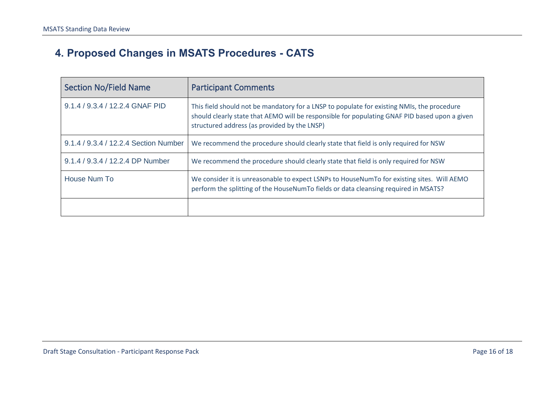# **4. Proposed Changes in MSATS Procedures - CATS**

| <b>Section No/Field Name</b>          | <b>Participant Comments</b>                                                                                                                                                                                                                 |
|---------------------------------------|---------------------------------------------------------------------------------------------------------------------------------------------------------------------------------------------------------------------------------------------|
| 9.1.4 / 9.3.4 / 12.2.4 GNAF PID       | This field should not be mandatory for a LNSP to populate for existing NMIs, the procedure<br>should clearly state that AEMO will be responsible for populating GNAF PID based upon a given<br>structured address (as provided by the LNSP) |
| 9.1.4 / 9.3.4 / 12.2.4 Section Number | We recommend the procedure should clearly state that field is only required for NSW                                                                                                                                                         |
| 9.1.4 / 9.3.4 / 12.2.4 DP Number      | We recommend the procedure should clearly state that field is only required for NSW                                                                                                                                                         |
| House Num To                          | We consider it is unreasonable to expect LSNPs to HouseNumTo for existing sites. Will AEMO<br>perform the splitting of the HouseNumTo fields or data cleansing required in MSATS?                                                           |
|                                       |                                                                                                                                                                                                                                             |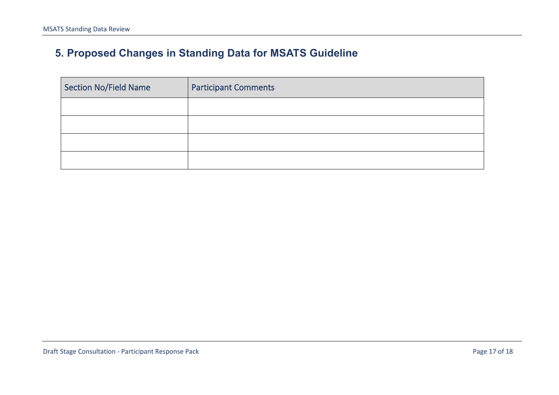# **5. Proposed Changes in Standing Data for MSATS Guideline**

| Section No/Field Name | <b>Participant Comments</b> |
|-----------------------|-----------------------------|
|                       |                             |
|                       |                             |
|                       |                             |
|                       |                             |